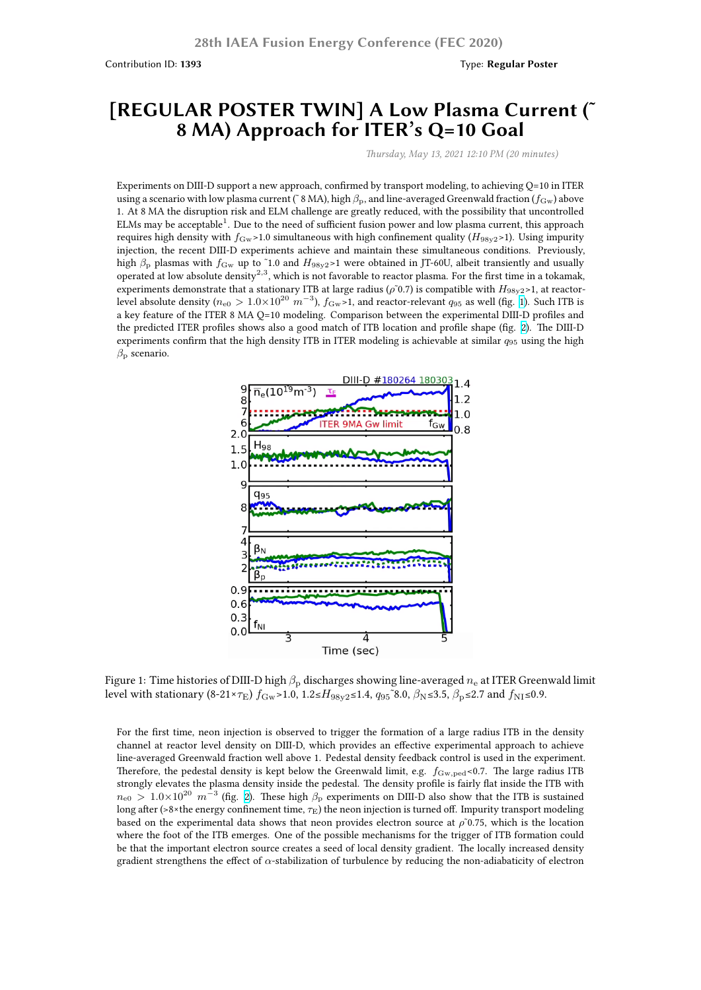## **[REGULAR POSTER TWIN] A Low Plasma Current (˜ 8 MA) Approach for ITER's Q=10 Goal**

*Thursday, May 13, 2021 12:10 PM (20 minutes)*

Experiments on DIII-D support a new approach, confirmed by transport modeling, to achieving Q=10 in ITER using a scenario with low plasma current (~8 MA), high  $β_p$ , and line-averaged Greenwald fraction ( $f_{Gw}$ ) above 1. At 8 MA the disruption risk and ELM challenge are greatly reduced, with the possibility that uncontrolled ELMs may be acceptable $^1$ . Due to the need of sufficient fusion power and low plasma current, this approach requires high density with  $f_{\text{Gw}}$  > 1.0 simultaneous with high confinement quality ( $H_{98y2}$  > 1). Using impurity injection, the recent DIII-D experiments achieve and maintain these simultaneous conditions. Previously, high *β*<sup>p</sup> plasmas with *f*Gw up to ˜1.0 and *H*98y2>1 were obtained in JT-60U, albeit transiently and usually operated at low absolute density<sup>2,3</sup>, which is not favorable to reactor plasma. For the first time in a tokamak, experiments demonstrate that a stationary ITB at large radius (*ρ*<sup>γ</sup>0.7) is compatible with *H*<sub>98y2</sub>>1, at reactorlevel absolute density (*n*e0 *>* 1*.*0×10<sup>20</sup> *m−*<sup>3</sup> ), *f*Gw>1, and reactor-relevant *q*<sup>95</sup> as well (fig. 1). Such ITB is a key feature of the ITER 8 MA Q=10 modeling. Comparison between the experimental DIII-D profiles and the predicted ITER profiles shows also a good match of ITB location and profile shape (fig. 2). The DIII-D experiments confirm that the high density ITB in ITER modeling is achievable at similar *q*<sup>95</sup> using the high *β*<sup>p</sup> scenario.



Figure 1: Time histories of DIII-D high *β*<sup>p</sup> discharges showing line-averaged *n*<sup>e</sup> at ITER Greenwald limit level with stationary  $(8-21\times\tau_E) f_{\rm Gw} > 1.0$ ,  $1.2 \leq H_{98y2} \leq 1.4$ ,  $q_{95}$ <sup>2</sup>.0,  $\beta_{\rm N} \leq 3.5$ ,  $\beta_{\rm D} \leq 2.7$  and  $f_{\rm NI} \leq 0.9$ .

For the first time, neon injection is observed to trigger the formation of a large radius ITB in the density channel at reactor level density on DIII-D, which provides an effective experimental approach to achieve line-averaged Greenwald fraction well above 1. Pedestal density feedback control is used in the experiment. Therefore, the pedestal density is kept below the Greenwald limit, e.g.  $f_{\text{Gw},\text{ped}}$ <0.7. The large radius ITB strongly elevates the plasma density inside the pedestal. The density profile is fairly flat inside the ITB with  $n_{\rm e0}$  >  $1.0\times10^{20}$   $m^{-3}$  (fig. 2). These high  $\beta_{\rm p}$  experiments on DIII-D also show that the ITB is sustained long after (>8×the energy confinement time, *τ*<sub>E</sub>) the neon injection is turned off. Impurity transport modeling based on the experimental data shows that neon provides electron source at  $\rho$ <sup> $\tilde{\rho}$ </sup>0.75, which is the location where the foot of the ITB emerges. One of the possible mechanisms for the trigger of ITB formation could be that the important electron source creates a seed of local density gradient. The locally increased density gradient strengthens the effe[ct](https://fusion.gat.com/conference/event/104/attachments/161/1579/Ding.Siye.IAEA2020.Fig2.png) of *α*-stabilization of turbulence by reducing the non-adiabaticity of electron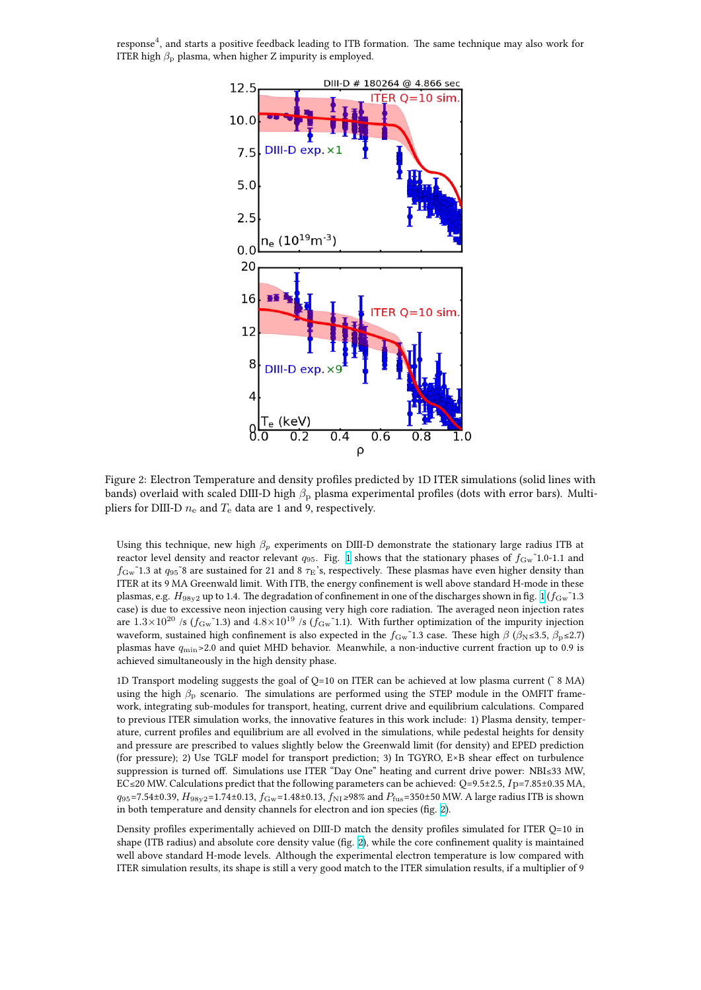

Figure 2: Electron Temperature and density profiles predicted by 1D ITER simulations (solid lines with bands) overlaid with scaled DIII-D high *β*<sup>p</sup> plasma experimental profiles (dots with error bars). Multipliers for DIII-D  $n_e$  and  $T_e$  data are 1 and 9, respectively.

Using this technique, new high *β<sup>p</sup>* experiments on DIII-D demonstrate the stationary large radius ITB at reactor level density and reactor relevant  $q_{95}$ . Fig. 1 shows that the stationary phases of  $f_{\text{Gw}}$ ~1.0-1.1 and  $f_{\rm Gw}$  1.3 at  $q_{95}$ <sup> $\rm\degree$ </sup>8 are sustained for 21 and 8  $\tau_{\rm E}$ 's, respectively. These plasmas have even higher density than ITER at its 9 MA Greenwald limit. With ITB, the energy confinement is well above standard H-mode in these plasmas, e.g.  $H_{98y2}$  up to 1.4. The degradation of confinement in one of the discharges shown in fig. 1 ( $f_{\rm Gw}$ <sup>~</sup>1.3 case) is due to excessive neon injection causing very [h](https://fusion.gat.com/conference/event/104/attachments/161/1578/Ding.Siye.IAEA2020.Fig1.png)igh core radiation. The averaged neon injection rates are  $1.3\times10^{20}$  /s ( $f_{\text{Gw}}$ <sup> $\text{1.3}$ ) and  $4.8\times10^{19}$  /s ( $f_{\text{Gw}}$ <sup> $\text{1.1}$ ). With further optimization of the impurity injection</sup></sup> waveform, sustained high confinement is also expected in the *f*<sub>Gw</sub>~1.3 case. These high *β* (*β*N≤3.5, *β*<sub>P</sub>≤2.7) plasmas have *q*min>2.0 and quiet MHD behavior. Meanwhile, a non-inductive current fraction [up](https://fusion.gat.com/conference/event/104/attachments/161/1578/Ding.Siye.IAEA2020.Fig1.png) to 0.9 is achieved simultaneously in the high density phase.

1D Transport modeling suggests the goal of Q=10 on ITER can be achieved at low plasma current  $(^{\circ}$  8 MA) using the high *β*<sup>p</sup> scenario. The simulations are performed using the STEP module in the OMFIT framework, integrating sub-modules for transport, heating, current drive and equilibrium calculations. Compared to previous ITER simulation works, the innovative features in this work include: 1) Plasma density, temperature, current profiles and equilibrium are all evolved in the simulations, while pedestal heights for density and pressure are prescribed to values slightly below the Greenwald limit (for density) and EPED prediction (for pressure); 2) Use TGLF model for transport prediction; 3) In TGYRO, E×B shear effect on turbulence suppression is turned off. Simulations use ITER "Day One" heating and current drive power: NBI≤33 MW, EC≤20 MW. Calculations predict that the following parameters can be achieved: Q=9.5±2.5, *I*p=7.85±0.35 MA, *q*<sub>95</sub>=7.54±0.39, *H*<sub>98y2</sub>=1.74±0.13, *f*<sub>Gw</sub>=1.48±0.13, *f*<sub>NI</sub>≥98% and *P*<sub>fus</sub>=350±50 MW. A large radius ITB is shown in both temperature and density channels for electron and ion species (fig. 2).

Density profiles experimentally achieved on DIII-D match the density profiles simulated for ITER Q=10 in shape (ITB radius) and absolute core density value (fig. 2), while the core confinement quality is maintained well above standard H-mode levels. Although the experimental electron temperature is low compared with ITER simulation results, its shape is still a very good match to the ITER si[mul](https://fusion.gat.com/conference/event/104/attachments/161/1579/Ding.Siye.IAEA2020.Fig2.png)ation results, if a multiplier of 9